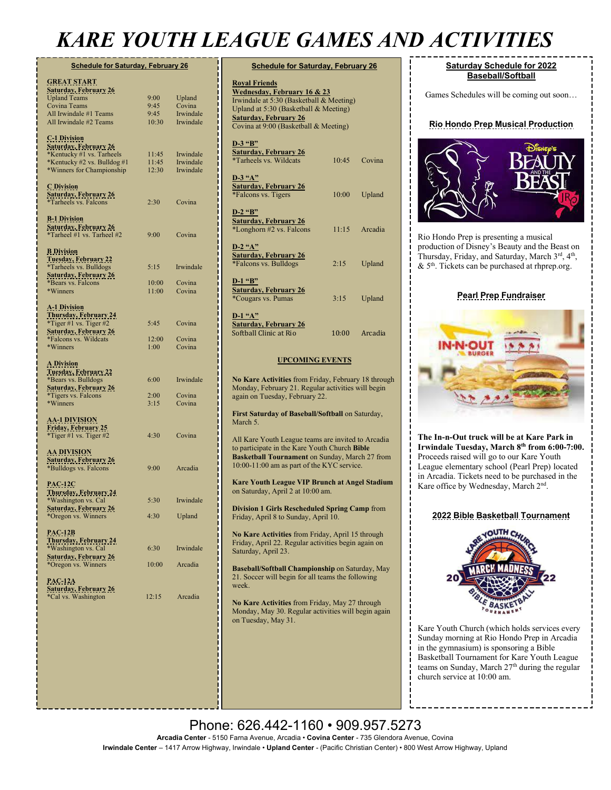# *KARE YOUTH LEAGUE GAMES AND ACTIVITIES*

| <b>Schedule for Saturday, February 26</b>                                                                        |                |                        |  |  |
|------------------------------------------------------------------------------------------------------------------|----------------|------------------------|--|--|
| <b>GREAT START</b><br><u> Saturday, February 26</u>                                                              |                |                        |  |  |
| <b>Upland Teams</b>                                                                                              | 9:00           | Upland                 |  |  |
| Covina Teams<br>All Irwindale #1 Teams                                                                           | 9:45<br>9:45   | Covina<br>Irwindale    |  |  |
| All Irwindale #2 Teams                                                                                           | 10:30          | Irwindale              |  |  |
| <b>C-1 Division</b><br><u> Saturday, February 26</u><br>*Kentucky #1 vs. Tarheels<br>*Kentucky #2 vs. Bulldog #1 | 11:45<br>11:45 | Irwindale<br>Irwindale |  |  |
| *Winners for Championship                                                                                        | 12:30          | Irwindale              |  |  |
| <b>C</b> Division<br><b><u>Saturday, February 26</u></b><br><i>*Tarheels vs. Falcons</i>                         | 2:30           | Covina                 |  |  |
| <b>B-1 Division</b><br><u> Saturday, February 26</u><br>*Tarheel #1 vs. Tarheel #2                               | 9:00           | Covina                 |  |  |
| <b>B</b> Division<br><u>Tuesday, February 22</u><br>*Tarheels vs. Bulldogs                                       | 5:15           | Irwindale              |  |  |
| <b><u>Saturday, February 26</u></b>                                                                              |                |                        |  |  |
| *Bears vs. Falcons                                                                                               | 10:00          | Covina                 |  |  |
| *Winners                                                                                                         | 11:00          | Covina                 |  |  |
| <b>A-1 Division</b><br><u>Thursday, February 24</u><br>*Tiger #1 vs. Tiger #2                                    | 5:45           | Covina                 |  |  |
| <b>Saturday, February 26</b>                                                                                     |                |                        |  |  |
| *Falcons vs. Wildcats                                                                                            | 12:00          | Covina                 |  |  |
| *Winners                                                                                                         | 1:00           | Covina                 |  |  |
| <b>A</b> Division<br><u>Tuesday, February 22</u><br>*Bears vs. Bulldogs                                          | 6:00           | Irwindale              |  |  |
| <b>Saturday, February 26</b>                                                                                     |                |                        |  |  |
| <i>*Tigers vs. Falcons</i>                                                                                       | 2:00           | Covina                 |  |  |
| *Winners                                                                                                         | 3:15           | Covina                 |  |  |
| <b>AA-1 DIVISION</b><br>Friday, February 25<br>*Tiger #1 vs. Tiger #2                                            | 4:30           | Covina                 |  |  |
| <u>AA DIVISION</u><br><u> Saturday, February 26</u><br>*Bulldogs vs. Falcons                                     | 9:00           | Arcadia                |  |  |
| <u>PAC-12C</u><br><u>Thursday, February 24</u><br>*Washington vs. Cal                                            | 5:30           | Irwindale              |  |  |
| <b>Saturday, February 26</b>                                                                                     | 4:30           |                        |  |  |
| *Oregon vs. Winners                                                                                              |                | Upland                 |  |  |
| <b>PAC-12B</b><br><b>Thursday, February 24</b><br>*Washington vs. Cal                                            | 6:30           | Irwindale              |  |  |
| <b>Saturday, February 26</b>                                                                                     |                |                        |  |  |
| *Oregon vs. Winners                                                                                              | 10:00          | Arcadia                |  |  |
| <b>PAC-12A</b><br><b>Saturday, February 26</b><br>*Cal vs. Washington                                            | 12:15          | Arcadia                |  |  |
|                                                                                                                  |                |                        |  |  |

| <b>Schedule for Saturday, February 26</b>                                                                                                                                                                         |       |         |  |  |
|-------------------------------------------------------------------------------------------------------------------------------------------------------------------------------------------------------------------|-------|---------|--|--|
| <b>Royal Friends</b><br>Wednesday, February 16 & 23<br>Irwindale at 5:30 (Basketball & Meeting)<br>Upland at 5:30 (Basketball & Meeting)<br><b>Saturday, February 26</b><br>Covina at 9:00 (Basketball & Meeting) |       |         |  |  |
| $D-3$ "B"<br><b>Saturday, February 26</b><br>*Tarheels vs. Wildcats                                                                                                                                               | 10:45 | Covina  |  |  |
| $D-3$ "A"<br><b>Saturday, February 26</b><br>*Falcons vs. Tigers                                                                                                                                                  | 10:00 | Upland  |  |  |
| $D-2$ "B"<br><b>Saturday, February 26</b><br>*Longhorn #2 vs. Falcons                                                                                                                                             | 11:15 | Arcadia |  |  |
| $D-2$ "A"<br><b>Saturday, February 26</b><br>*Falcons vs. Bulldogs                                                                                                                                                | 2:15  | Upland  |  |  |
| $D-1$ "B"<br><b>Saturday, February 26</b><br>*Cougars vs. Pumas                                                                                                                                                   | 3:15  | Upland  |  |  |
| $D-1$ "A"<br><b>Saturday, February 26</b><br>Softball Clinic at Rio                                                                                                                                               | 10:00 | Arcadia |  |  |

#### **UPCOMING EVENTS**

**No Kare Activities** from Friday, February 18 through Monday, February 21. Regular activities will begin again on Tuesday, February 22.

**First Saturday of Baseball/Softball on Saturday,** March 5.

All Kare Youth League teams are invited to Arcadia to participate in the Kare Youth Church **Bible Basketball Tournament** on Sunday, March 27 from 10:00-11:00 am as part of the KYC service.

**Kare Youth League VIP Brunch at Angel Stadium** on Saturday, April 2 at 10:00 am.

**Division 1 Girls Rescheduled Spring Camp** from Friday, April 8 to Sunday, April 10.

**No Kare Activities** from Friday, April 15 through Friday, April 22. Regular activities begin again on Saturday, April 23.

**Baseball/Softball Championship** on Saturday, May 21. Soccer will begin for all teams the following week.

**No Kare Activities** from Friday, May 27 through Monday, May 30. Regular activities will begin again on Tuesday, May 31.

#### **Saturday Schedule for 2022 Baseball/Softball**

Games Schedules will be coming out soon…

#### **Rio Hondo Prep Musical Production**



Rio Hondo Prep is presenting a musical production of Disney's Beauty and the Beast on Thursday, Friday, and Saturday, March 3rd, 4<sup>th</sup>,  $& 5<sup>th</sup>$ . Tickets can be purchased at rhprep.org.

#### **Pearl Prep Fundraiser**



**The In-n-Out truck will be at Kare Park in Irwindale Tuesday, March 8th from 6:00-7:00.** Proceeds raised will go to our Kare Youth League elementary school (Pearl Prep) located in Arcadia. Tickets need to be purchased in the Kare office by Wednesday, March 2nd.

#### **2022 Bible Basketball Tournament**



Kare Youth Church (which holds services every Sunday morning at Rio Hondo Prep in Arcadia in the gymnasium) is sponsoring a Bible Basketball Tournament for Kare Youth League teams on Sunday, March 27<sup>th</sup> during the regular church service at 10:00 am.